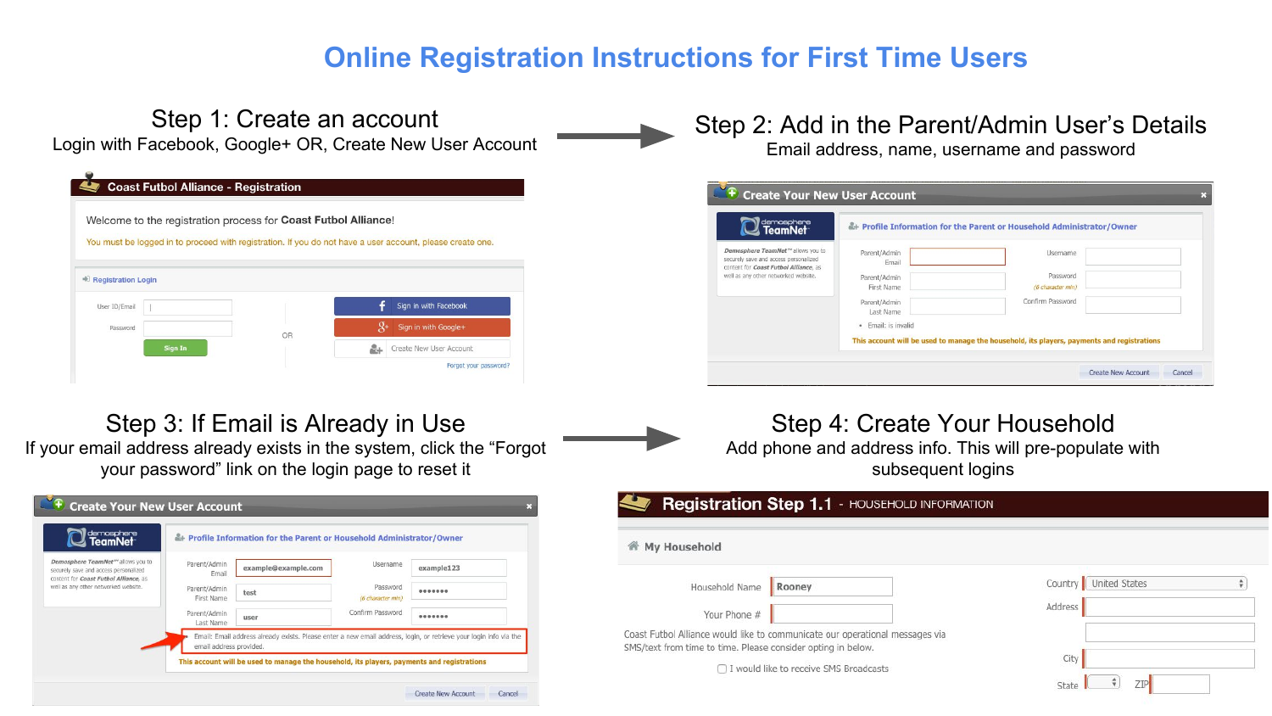# **Online Registration Instructions for First Time Users**

#### Step 1: Create an account Login with Facebook, Google+ OR, Create New User Account **Coast Futbol Alliance - Registration** Welcome to the registration process for Coast Futbol Alliance! You must be logged in to proceed with registration. If you do not have a user account, please create one. + Registration Login User ID/Email Sign in with Facebook Sign in with Google+ Password OR Sign In **LL** Create New User Account Forgot your password?

#### Step 2: Add in the Parent/Admin User's Details Email address, name, username and password

| demosphere<br>  <b>TeamNet</b>                                                                                      |                                     | Frofile Information for the Parent or Household Administrator/Owner                        |  |
|---------------------------------------------------------------------------------------------------------------------|-------------------------------------|--------------------------------------------------------------------------------------------|--|
| Demosphere TeamNet™ allows you to<br>securely save and access personalized<br>content for Coast Futbol Alliance, as | Parent/Admin<br>Email               | Username                                                                                   |  |
| well as any other networked website.                                                                                | Parent/Admin                        | Password                                                                                   |  |
|                                                                                                                     | First Name                          | (6 character min)                                                                          |  |
|                                                                                                                     | Parent/Admin                        | Confirm Password                                                                           |  |
|                                                                                                                     | Last Name                           |                                                                                            |  |
|                                                                                                                     | Email: is invalid<br>$\blacksquare$ |                                                                                            |  |
|                                                                                                                     |                                     | This account will be used to manage the household, its players, payments and registrations |  |

# Step 3: If Email is Already in Use

If your email address already exists in the system, click the "Forgot your password" link on the login page to reset it

| demosphere<br>  <b>TeamNet</b>                                                                                                    |                            | - Profile Information for the Parent or Household Administrator/Owner |                               |                                                                                                                   |
|-----------------------------------------------------------------------------------------------------------------------------------|----------------------------|-----------------------------------------------------------------------|-------------------------------|-------------------------------------------------------------------------------------------------------------------|
| Demosphere TeamNet <sup>214</sup> allows you to<br>securely save and access personalized<br>content for Coast Futbol Alliance, as | Parent/Admin<br>Email      | example@example.com                                                   | <b>Username</b>               | example123                                                                                                        |
| well as any other networked website.                                                                                              | Parent/Admin<br>First Name | test                                                                  | Password<br>(6 character min) |                                                                                                                   |
|                                                                                                                                   | Parent/Admin<br>Last Name  | user                                                                  | Confirm Password              |                                                                                                                   |
|                                                                                                                                   | email address provided.    |                                                                       |                               | Email: Email address already exists. Please enter a new email address, login, or retrieve your login info via the |

## Step 4: Create Your Household Add phone and address info. This will pre-populate with subsequent logins

#### Registration Step 1.1 - HOUSEHOLD INFORMATION

#### **谷 My Household**

| Household Name Rooney                                        |                                                                              | Country L      |
|--------------------------------------------------------------|------------------------------------------------------------------------------|----------------|
| Your Phone #                                                 |                                                                              | <b>Address</b> |
| SMS/text from time to time. Please consider opting in below. | Coast Futbol Alliance would like to communicate our operational messages via |                |
|                                                              | □ I would like to receive SMS Broadcasts                                     |                |
|                                                              |                                                                              | State          |

|         | Country   United States |  |
|---------|-------------------------|--|
| Address |                         |  |
|         |                         |  |
| City    |                         |  |
| State   | ZIP                     |  |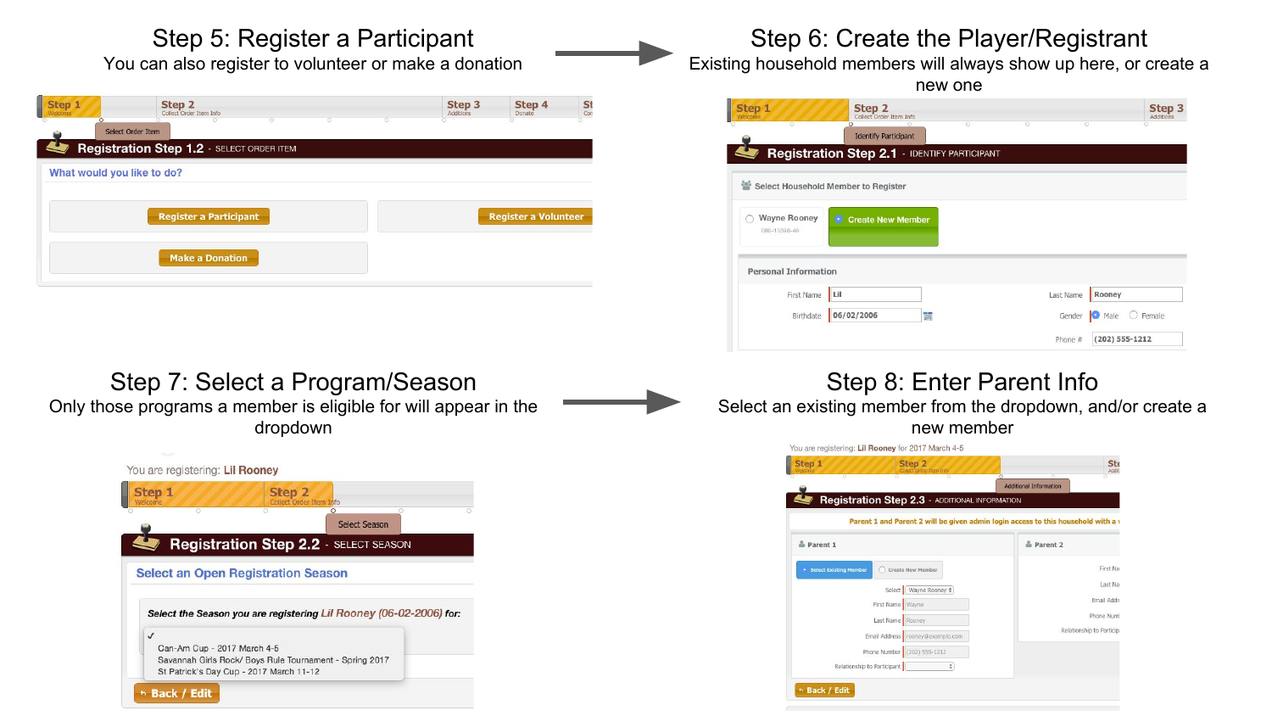## Step 5: Register a Participant

You can also register to volunteer or make a donation

| Step 1<br>Welcome          | Step <sub>2</sub><br>Collect Order Item Info | ō | 75 | Step <sub>3</sub><br>Additions | Step 4<br>Donate            | St |
|----------------------------|----------------------------------------------|---|----|--------------------------------|-----------------------------|----|
|                            | Select Order Item                            |   |    |                                |                             |    |
|                            | Registration Step 1.2 - SELECT ORDER ITEM    |   |    |                                |                             |    |
| What would you like to do? |                                              |   |    |                                |                             |    |
|                            |                                              |   |    |                                |                             |    |
|                            | <b>Register a Participant</b>                |   |    |                                | <b>Register a Volunteer</b> |    |
|                            |                                              |   |    |                                |                             |    |
|                            | <b>Make a Donation</b>                       |   |    |                                |                             |    |
|                            |                                              |   |    |                                |                             |    |

## Step 6: Create the Player/Registrant

Existing household members will always show up here, or create a

| Step 1<br>Velcome.                                  | Step 2<br>Collect Order Item Info                   |   |   |   | Step 3<br>Additions |
|-----------------------------------------------------|-----------------------------------------------------|---|---|---|---------------------|
|                                                     | <b>Identify Participant</b>                         | ō | o | o |                     |
|                                                     | <b>Registration Step 2.1 - IDENTIFY PARTICIPANT</b> |   |   |   |                     |
|                                                     |                                                     |   |   |   |                     |
|                                                     |                                                     |   |   |   |                     |
|                                                     |                                                     |   |   |   |                     |
| Wayne Rooney                                        |                                                     |   |   |   |                     |
| Select Household Member to Register<br>686-15398-46 | <b>Create New Member</b><br>۰                       |   |   |   |                     |
|                                                     |                                                     |   |   |   |                     |

#### Step 7: Select a Program/Season Only those programs a member is eligible for will appear in the dropdown



## Step 8: Enter Parent Info

 $\n *Male*\n *Female*\n$ 

 $(202) 555 - 1212$ 

Gender

Phone #

Birthdate 06/02/2006

Select an existing member from the dropdown, and/or create a new member